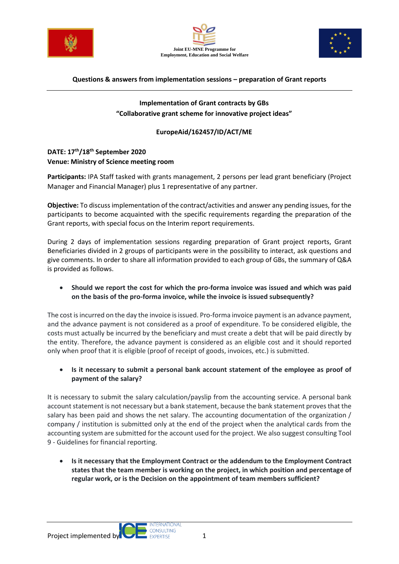





#### **Questions & answers from implementation sessions – preparation of Grant reports**

### **Implementation of Grant contracts by GBs "Collaborative grant scheme for innovative project ideas"**

### **EuropeAid/162457/ID/ACT/ME**

# **DATE: 17th/18th September 2020 Venue: Ministry of Science meeting room**

**Participants:** IPA Staff tasked with grants management, 2 persons per lead grant beneficiary (Project Manager and Financial Manager) plus 1 representative of any partner.

**Objective:** To discuss implementation of the contract/activities and answer any pending issues, for the participants to become acquainted with the specific requirements regarding the preparation of the Grant reports, with special focus on the Interim report requirements.

During 2 days of implementation sessions regarding preparation of Grant project reports, Grant Beneficiaries divided in 2 groups of participants were in the possibility to interact, ask questions and give comments. In order to share all information provided to each group of GBs, the summary of Q&A is provided as follows.

• **Should we report the cost for which the pro-forma invoice was issued and which was paid on the basis of the pro-forma invoice, while the invoice is issued subsequently?**

The cost is incurred on the day the invoice is issued. Pro-forma invoice payment is an advance payment, and the advance payment is not considered as a proof of expenditure. To be considered eligible, the costs must actually be incurred by the beneficiary and must create a debt that will be paid directly by the entity. Therefore, the advance payment is considered as an eligible cost and it should reported only when proof that it is eligible (proof of receipt of goods, invoices, etc.) is submitted.

• **Is it necessary to submit a personal bank account statement of the employee as proof of payment of the salary?**

It is necessary to submit the salary calculation/payslip from the accounting service. A personal bank account statement is not necessary but a bank statement, because the bank statement proves that the salary has been paid and shows the net salary. The accounting documentation of the organization / company / institution is submitted only at the end of the project when the analytical cards from the accounting system are submitted for the account used for the project. We also suggest consulting Tool 9 - Guidelines for financial reporting.

• **Is it necessary that the Employment Contract or the addendum to the Employment Contract states that the team member is working on the project, in which position and percentage of regular work, or is the Decision on the appointment of team members sufficient?**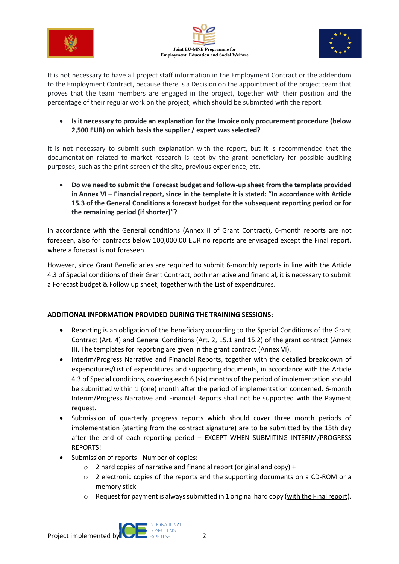





It is not necessary to have all project staff information in the Employment Contract or the addendum to the Employment Contract, because there is a Decision on the appointment of the project team that proves that the team members are engaged in the project, together with their position and the percentage of their regular work on the project, which should be submitted with the report.

• **Is it necessary to provide an explanation for the Invoice only procurement procedure (below 2,500 EUR) on which basis the supplier / expert was selected?**

It is not necessary to submit such explanation with the report, but it is recommended that the documentation related to market research is kept by the grant beneficiary for possible auditing purposes, such as the print-screen of the site, previous experience, etc.

• **Do we need to submit the Forecast budget and follow-up sheet from the template provided in Annex VI – Financial report, since in the template it is stated: "In accordance with Article 15.3 of the General Conditions a forecast budget for the subsequent reporting period or for the remaining period (if shorter)"?**

In accordance with the General conditions (Annex II of Grant Contract), 6-month reports are not foreseen, also for contracts below 100,000.00 EUR no reports are envisaged except the Final report, where a forecast is not foreseen.

However, since Grant Beneficiaries are required to submit 6-monthly reports in line with the Article 4.3 of Special conditions of their Grant Contract, both narrative and financial, it is necessary to submit a Forecast budget & Follow up sheet, together with the List of expenditures.

# **ADDITIONAL INFORMATION PROVIDED DURING THE TRAINING SESSIONS:**

- Reporting is an obligation of the beneficiary according to the Special Conditions of the Grant Contract (Art. 4) and General Conditions (Art. 2, 15.1 and 15.2) of the grant contract (Annex II). The templates for reporting are given in the grant contract (Annex VI).
- Interim/Progress Narrative and Financial Reports, together with the detailed breakdown of expenditures/List of expenditures and supporting documents, in accordance with the Article 4.3 of Special conditions, covering each 6 (six) months of the period of implementation should be submitted within 1 (one) month after the period of implementation concerned. 6-month Interim/Progress Narrative and Financial Reports shall not be supported with the Payment request.
- Submission of quarterly progress reports which should cover three month periods of implementation (starting from the contract signature) are to be submitted by the 15th day after the end of each reporting period – EXCEPT WHEN SUBMITING INTERIM/PROGRESS REPORTS!
- Submission of reports Number of copies:
	- o 2 hard copies of narrative and financial report (original and copy) +
	- $\circ$  2 electronic copies of the reports and the supporting documents on a CD-ROM or a memory stick
	- o Request for payment is always submitted in 1 original hard copy (with the Final report).